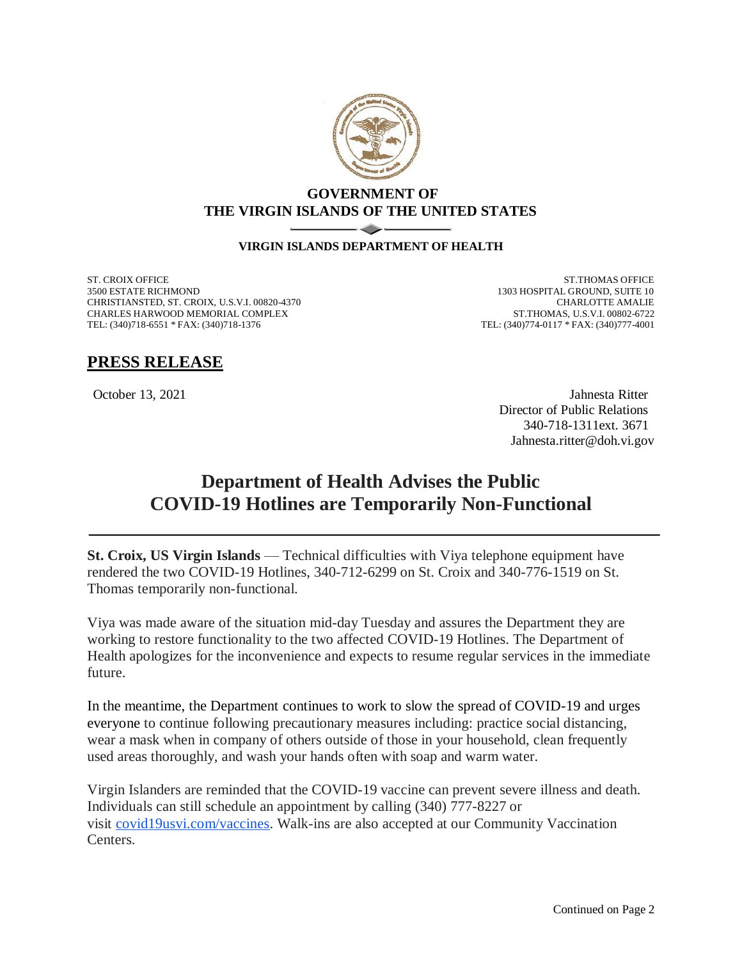

## **GOVERNMENT OF THE VIRGIN ISLANDS OF THE UNITED STATES**

## $\sim$   $\sim$   $\sim$ **VIRGIN ISLANDS DEPARTMENT OF HEALTH**

ST. CROIX OFFICE 3500 ESTATE RICHMOND CHRISTIANSTED, ST. CROIX, U.S.V.I. 00820-4370 CHARLES HARWOOD MEMORIAL COMPLEX TEL: (340)718-6551 \* FAX: (340)718-1376

ST.THOMAS OFFICE 1303 HOSPITAL GROUND, SUITE 10 CHARLOTTE AMALIE ST.THOMAS, U.S.V.I. 00802-6722 TEL: (340)774-0117 \* FAX: (340)777-4001

## **PRESS RELEASE**

October 13, 2021 Jahnesta Ritter Director of Public Relations 340-718-1311ext. 3671 Jahnesta.ritter@doh.vi.gov

## **Department of Health Advises the Public COVID-19 Hotlines are Temporarily Non-Functional**

**St. Croix, US Virgin Islands** — Technical difficulties with Viya telephone equipment have rendered the two COVID-19 Hotlines, 340-712-6299 on St. Croix and 340-776-1519 on St. Thomas temporarily non-functional.

Viya was made aware of the situation mid-day Tuesday and assures the Department they are working to restore functionality to the two affected COVID-19 Hotlines. The Department of Health apologizes for the inconvenience and expects to resume regular services in the immediate future.

In the meantime, the Department continues to work to slow the spread of COVID-19 and urges everyone to continue following precautionary measures including: practice social distancing, wear a mask when in company of others outside of those in your household, clean frequently used areas thoroughly, and wash your hands often with soap and warm water.

Virgin Islanders are reminded that the COVID-19 vaccine can prevent severe illness and death. Individuals can still schedule an appointment by calling (340) 777-8227 or visit [covid19usvi.com/vaccines.](http://covid19usvi.com/vaccines) Walk-ins are also accepted at our Community Vaccination Centers.